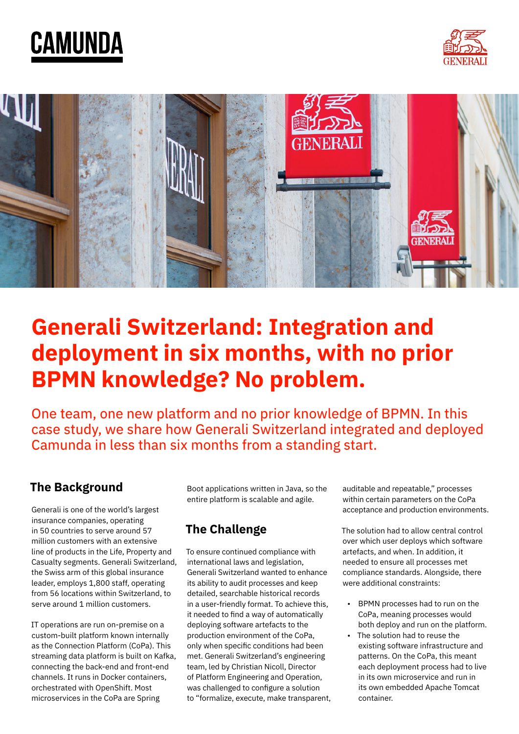





# **Generali Switzerland: Integration and deployment in six months, with no prior BPMN knowledge? No problem.**

One team, one new platform and no prior knowledge of BPMN. In this case study, we share how Generali Switzerland integrated and deployed Camunda in less than six months from a standing start.

### **The Background**

Generali is one of the world's largest insurance companies, operating in 50 countries to serve around 57 million customers with an extensive line of products in the Life, Property and Casualty segments. Generali Switzerland, the Swiss arm of this global insurance leader, employs 1,800 staff, operating from 56 locations within Switzerland, to serve around 1 million customers.

IT operations are run on-premise on a custom-built platform known internally as the Connection Platform (CoPa). This streaming data platform is built on Kafka, connecting the back-end and front-end channels. It runs in Docker containers, orchestrated with OpenShift. Most microservices in the CoPa are Spring

Boot applications written in Java, so the entire platform is scalable and agile.

## **The Challenge**

To ensure continued compliance with international laws and legislation, Generali Switzerland wanted to enhance its ability to audit processes and keep detailed, searchable historical records in a user-friendly format. To achieve this, it needed to find a way of automatically deploying software artefacts to the production environment of the CoPa, only when specific conditions had been met. Generali Switzerland's engineering team, led by Christian Nicoll, Director of Platform Engineering and Operation, was challenged to configure a solution to "formalize, execute, make transparent, auditable and repeatable," processes within certain parameters on the CoPa acceptance and production environments.

The solution had to allow central control over which user deploys which software artefacts, and when. In addition, it needed to ensure all processes met compliance standards. Alongside, there were additional constraints:

- BPMN processes had to run on the CoPa, meaning processes would both deploy and run on the platform.
- The solution had to reuse the existing software infrastructure and patterns. On the CoPa, this meant each deployment process had to live in its own microservice and run in its own embedded Apache Tomcat container.